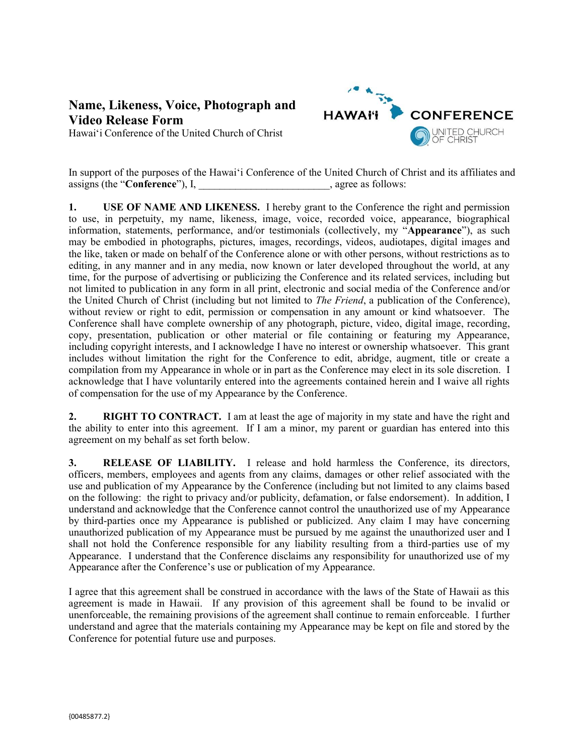## **Name, Likeness, Voice, Photograph and Video Release Form**

Hawai'i Conference of the United Church of Christ



In support of the purposes of the Hawai'i Conference of the United Church of Christ and its affiliates and assigns (the "**Conference**"), I, agree as follows:

**1. USE OF NAME AND LIKENESS.** I hereby grant to the Conference the right and permission to use, in perpetuity, my name, likeness, image, voice, recorded voice, appearance, biographical information, statements, performance, and/or testimonials (collectively, my "**Appearance**"), as such may be embodied in photographs, pictures, images, recordings, videos, audiotapes, digital images and the like, taken or made on behalf of the Conference alone or with other persons, without restrictions as to editing, in any manner and in any media, now known or later developed throughout the world, at any time, for the purpose of advertising or publicizing the Conference and its related services, including but not limited to publication in any form in all print, electronic and social media of the Conference and/or the United Church of Christ (including but not limited to *The Friend*, a publication of the Conference), without review or right to edit, permission or compensation in any amount or kind whatsoever. The Conference shall have complete ownership of any photograph, picture, video, digital image, recording, copy, presentation, publication or other material or file containing or featuring my Appearance, including copyright interests, and I acknowledge I have no interest or ownership whatsoever. This grant includes without limitation the right for the Conference to edit, abridge, augment, title or create a compilation from my Appearance in whole or in part as the Conference may elect in its sole discretion. I acknowledge that I have voluntarily entered into the agreements contained herein and I waive all rights of compensation for the use of my Appearance by the Conference.

**2. RIGHT TO CONTRACT.** I am at least the age of majority in my state and have the right and the ability to enter into this agreement. If I am a minor, my parent or guardian has entered into this agreement on my behalf as set forth below.

**3. RELEASE OF LIABILITY.** I release and hold harmless the Conference, its directors, officers, members, employees and agents from any claims, damages or other relief associated with the use and publication of my Appearance by the Conference (including but not limited to any claims based on the following: the right to privacy and/or publicity, defamation, or false endorsement). In addition, I understand and acknowledge that the Conference cannot control the unauthorized use of my Appearance by third-parties once my Appearance is published or publicized. Any claim I may have concerning unauthorized publication of my Appearance must be pursued by me against the unauthorized user and I shall not hold the Conference responsible for any liability resulting from a third-parties use of my Appearance. I understand that the Conference disclaims any responsibility for unauthorized use of my Appearance after the Conference's use or publication of my Appearance.

I agree that this agreement shall be construed in accordance with the laws of the State of Hawaii as this agreement is made in Hawaii. If any provision of this agreement shall be found to be invalid or unenforceable, the remaining provisions of the agreement shall continue to remain enforceable. I further understand and agree that the materials containing my Appearance may be kept on file and stored by the Conference for potential future use and purposes.